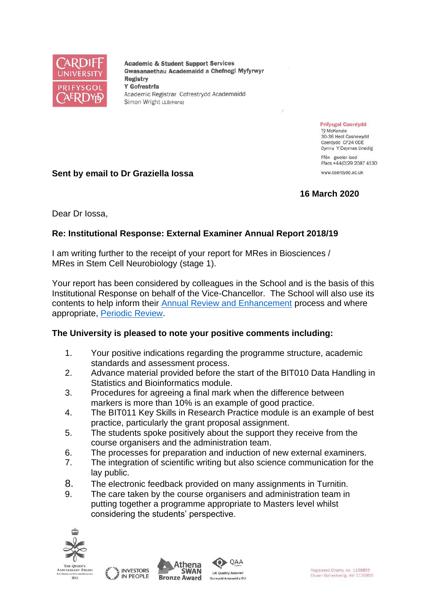

**Academic & Student Support Services** Gwasanaethau Academaidd a Chefnogi Myfyrwyr **Registry** Y Gofrestrfa Academic Registrar Cofrestrydd Academaidd Simon Wright LLB(Hons)

> **Prifysgol Caerdydd** Tỷ McKenzie 30-36 Heol Casnewydd Caerdydd CF24 ODE Cymru Y Deyrnas Unedig Ffôn gweler isod

Ffacs +44(0)29 2087 4130 www.caerdydd.ac.uk

# **Sent by email to Dr Graziella Iossa**

## **16 March 2020**

Dear Dr Iossa,

## **Re: Institutional Response: External Examiner Annual Report 2018/19**

I am writing further to the receipt of your report for MRes in Biosciences / MRes in Stem Cell Neurobiology (stage 1).

Your report has been considered by colleagues in the School and is the basis of this Institutional Response on behalf of the Vice-Chancellor. The School will also use its contents to help inform their [Annual Review and Enhancement](https://www.cardiff.ac.uk/public-information/quality-and-standards/monitoring-and-review/annual-review-and-enhancement) process and where appropriate, [Periodic Review.](http://www.cardiff.ac.uk/public-information/quality-and-standards/monitoring-and-review/periodic-review)

#### **The University is pleased to note your positive comments including:**

- 1. Your positive indications regarding the programme structure, academic standards and assessment process.
- 2. Advance material provided before the start of the BIT010 Data Handling in Statistics and Bioinformatics module.
- 3. Procedures for agreeing a final mark when the difference between markers is more than 10% is an example of good practice.
- 4. The BIT011 Key Skills in Research Practice module is an example of best practice, particularly the grant proposal assignment.
- 5. The students spoke positively about the support they receive from the course organisers and the administration team.
- 6. The processes for preparation and induction of new external examiners.
- 7. The integration of scientific writing but also science communication for the lay public.

QAA

- 8. The electronic feedback provided on many assignments in Turnitin.
- 9. The care taken by the course organisers and administration team in putting together a programme appropriate to Masters level whilst considering the students' perspective.





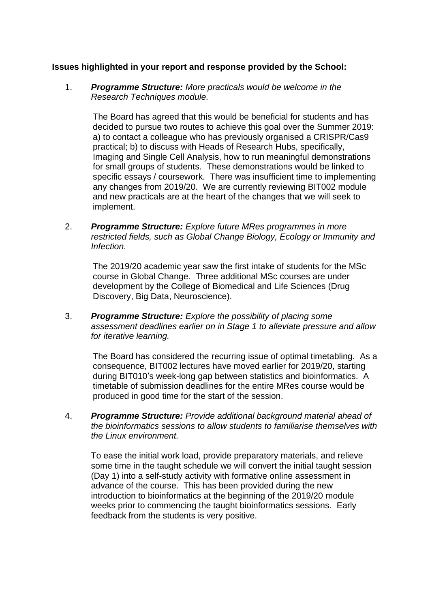#### **Issues highlighted in your report and response provided by the School:**

1. *Programme Structure: More practicals would be welcome in the Research Techniques module.*

The Board has agreed that this would be beneficial for students and has decided to pursue two routes to achieve this goal over the Summer 2019: a) to contact a colleague who has previously organised a CRISPR/Cas9 practical; b) to discuss with Heads of Research Hubs, specifically, Imaging and Single Cell Analysis, how to run meaningful demonstrations for small groups of students. These demonstrations would be linked to specific essays / coursework. There was insufficient time to implementing any changes from 2019/20. We are currently reviewing BIT002 module and new practicals are at the heart of the changes that we will seek to implement.

2. *Programme Structure: Explore future MRes programmes in more restricted fields, such as Global Change Biology, Ecology or Immunity and Infection.*

The 2019/20 academic year saw the first intake of students for the MSc course in Global Change. Three additional MSc courses are under development by the College of Biomedical and Life Sciences (Drug Discovery, Big Data, Neuroscience).

3. *Programme Structure: Explore the possibility of placing some assessment deadlines earlier on in Stage 1 to alleviate pressure and allow for iterative learning.* 

The Board has considered the recurring issue of optimal timetabling. As a consequence, BIT002 lectures have moved earlier for 2019/20, starting during BIT010's week-long gap between statistics and bioinformatics. A timetable of submission deadlines for the entire MRes course would be produced in good time for the start of the session.

4. *Programme Structure: Provide additional background material ahead of the bioinformatics sessions to allow students to familiarise themselves with the Linux environment.*

To ease the initial work load, provide preparatory materials, and relieve some time in the taught schedule we will convert the initial taught session (Day 1) into a self-study activity with formative online assessment in advance of the course. This has been provided during the new introduction to bioinformatics at the beginning of the 2019/20 module weeks prior to commencing the taught bioinformatics sessions. Early feedback from the students is very positive.